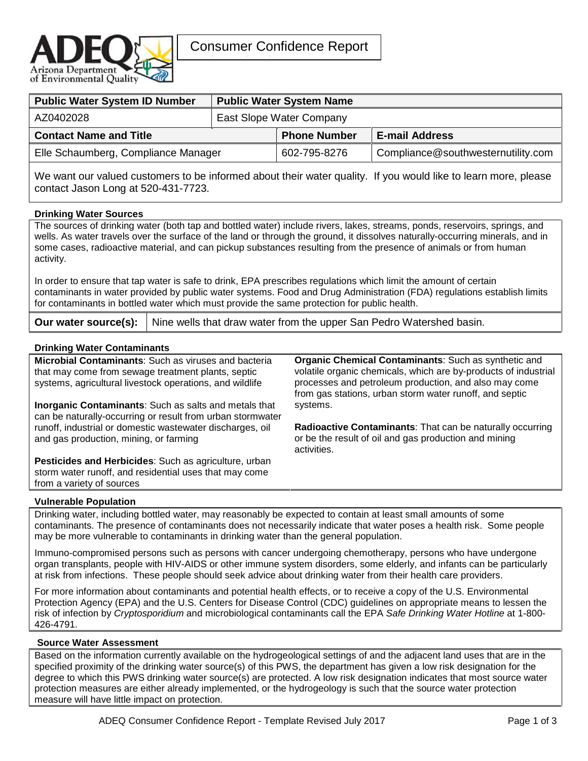

| <b>Public Water System ID Number</b> | <b>Public Water System Name</b> |                     |                                    |  |  |
|--------------------------------------|---------------------------------|---------------------|------------------------------------|--|--|
| AZ0402028                            | East Slope Water Company        |                     |                                    |  |  |
| <b>Contact Name and Title</b>        |                                 | <b>Phone Number</b> | <b>E-mail Address</b>              |  |  |
| Elle Schaumberg, Compliance Manager  |                                 | 602-795-8276        | Compliance@southwesternutility.com |  |  |

We want our valued customers to be informed about their water quality. If you would like to learn more, please contact Jason Long at 520-431-7723.

## **Drinking Water Sources**

The sources of drinking water (both tap and bottled water) include rivers, lakes, streams, ponds, reservoirs, springs, and wells. As water travels over the surface of the land or through the ground, it dissolves naturally-occurring minerals, and in some cases, radioactive material, and can pickup substances resulting from the presence of animals or from human activity.

In order to ensure that tap water is safe to drink, EPA prescribes regulations which limit the amount of certain contaminants in water provided by public water systems. Food and Drug Administration (FDA) regulations establish limits for contaminants in bottled water which must provide the same protection for public health.

**Our water source(s):** | Nine wells that draw water from the upper San Pedro Watershed basin.

# **Drinking Water Contaminants**

| Drinking water Contaminants                                  |                                                                  |
|--------------------------------------------------------------|------------------------------------------------------------------|
| Microbial Contaminants: Such as viruses and bacteria         | Organic Chemical Contaminants: Such as synthetic and             |
| that may come from sewage treatment plants, septic           | volatile organic chemicals, which are by-products of industrial  |
| systems, agricultural livestock operations, and wildlife     | processes and petroleum production, and also may come            |
|                                                              | from gas stations, urban storm water runoff, and septic          |
| <b>Inorganic Contaminants:</b> Such as salts and metals that | systems.                                                         |
| can be naturally-occurring or result from urban stormwater   |                                                                  |
| runoff, industrial or domestic wastewater discharges, oil    | <b>Radioactive Contaminants:</b> That can be naturally occurring |
| and gas production, mining, or farming                       | or be the result of oil and gas production and mining            |
|                                                              | activities.                                                      |
| Pesticides and Herbicides: Such as agriculture, urban        |                                                                  |

# from a variety of sources **Vulnerable Population**

storm water runoff, and residential uses that may come

Drinking water, including bottled water, may reasonably be expected to contain at least small amounts of some contaminants. The presence of contaminants does not necessarily indicate that water poses a health risk. Some people may be more vulnerable to contaminants in drinking water than the general population.

Immuno-compromised persons such as persons with cancer undergoing chemotherapy, persons who have undergone organ transplants, people with HIV-AIDS or other immune system disorders, some elderly, and infants can be particularly at risk from infections. These people should seek advice about drinking water from their health care providers.

For more information about contaminants and potential health effects, or to receive a copy of the U.S. Environmental Protection Agency (EPA) and the U.S. Centers for Disease Control (CDC) guidelines on appropriate means to lessen the risk of infection by *Cryptosporidium* and microbiological contaminants call the EPA *Safe Drinking Water Hotline* at 1-800- 426-4791.

#### **Source Water Assessment**

Based on the information currently available on the hydrogeological settings of and the adjacent land uses that are in the specified proximity of the drinking water source(s) of this PWS, the department has given a low risk designation for the degree to which this PWS drinking water source(s) are protected. A low risk designation indicates that most source water protection measures are either already implemented, or the hydrogeology is such that the source water protection measure will have little impact on protection.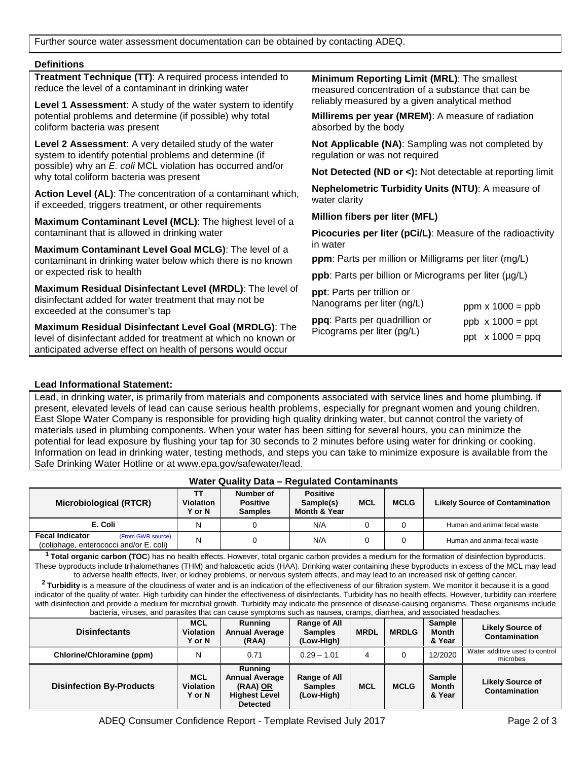Further source water assessment documentation can be obtained by contacting ADEQ.

### **Definitions**

| <b>Treatment Technique (TT):</b> A required process intended to<br>reduce the level of a contaminant in drinking water                               | Minimum Reporting Limit (MRL): The smallest<br>measured concentration of a substance that can be<br>reliably measured by a given analytical method |                         |  |  |  |
|------------------------------------------------------------------------------------------------------------------------------------------------------|----------------------------------------------------------------------------------------------------------------------------------------------------|-------------------------|--|--|--|
| Level 1 Assessment: A study of the water system to identify                                                                                          |                                                                                                                                                    |                         |  |  |  |
| potential problems and determine (if possible) why total<br>coliform bacteria was present                                                            | Millirems per year (MREM): A measure of radiation<br>absorbed by the body                                                                          |                         |  |  |  |
| <b>Level 2 Assessment:</b> A very detailed study of the water<br>system to identify potential problems and determine (if                             | Not Applicable (NA): Sampling was not completed by<br>regulation or was not required                                                               |                         |  |  |  |
| possible) why an E. coli MCL violation has occurred and/or<br>why total coliform bacteria was present                                                | <b>Not Detected (ND or &lt;):</b> Not detectable at reporting limit                                                                                |                         |  |  |  |
| Action Level (AL): The concentration of a contaminant which,<br>if exceeded, triggers treatment, or other requirements                               | <b>Nephelometric Turbidity Units (NTU): A measure of</b><br>water clarity                                                                          |                         |  |  |  |
| Maximum Contaminant Level (MCL): The highest level of a                                                                                              | Million fibers per liter (MFL)                                                                                                                     |                         |  |  |  |
| contaminant that is allowed in drinking water                                                                                                        | <b>Picocuries per liter (pCi/L):</b> Measure of the radioactivity<br>in water                                                                      |                         |  |  |  |
| Maximum Contaminant Level Goal MCLG): The level of a                                                                                                 |                                                                                                                                                    |                         |  |  |  |
| contaminant in drinking water below which there is no known                                                                                          | ppm: Parts per million or Milligrams per liter (mg/L)                                                                                              |                         |  |  |  |
| or expected risk to health                                                                                                                           | <b>ppb</b> : Parts per billion or Micrograms per liter (µg/L)                                                                                      |                         |  |  |  |
| Maximum Residual Disinfectant Level (MRDL): The level of<br>disinfectant added for water treatment that may not be<br>exceeded at the consumer's tap | ppt: Parts per trillion or<br>Nanograms per liter (ng/L)                                                                                           | ppm $x 1000 = ppb$      |  |  |  |
| Maximum Residual Disinfectant Level Goal (MRDLG): The                                                                                                | ppq: Parts per quadrillion or                                                                                                                      | $ppb \times 1000 = ppt$ |  |  |  |
| level of disinfectant added for treatment at which no known or<br>anticipated adverse effect on health of persons would occur                        | Picograms per liter (pg/L)                                                                                                                         | ppt $x 1000 = ppq$      |  |  |  |

### **Lead Informational Statement:**

Lead, in drinking water, is primarily from materials and components associated with service lines and home plumbing. If present, elevated levels of lead can cause serious health problems, especially for pregnant women and young children. East Slope Water Company is responsible for providing high quality drinking water, but cannot control the variety of materials used in plumbing components. When your water has been sitting for several hours, you can minimize the potential for lead exposure by flushing your tap for 30 seconds to 2 minutes before using water for drinking or cooking. Information on lead in drinking water, testing methods, and steps you can take to minimize exposure is available from the Safe Drinking Water Hotline or at www.epa.gov/safewater/lead.

**Water Quality Data – Regulated Contaminants** 

| $\alpha$ and $\alpha$ and $\alpha$ and $\alpha$ is $\alpha$ and $\alpha$ is $\alpha$ and $\alpha$ is $\alpha$ is $\alpha$ is $\alpha$ is $\alpha$ is $\alpha$ is $\alpha$ is $\alpha$ is $\alpha$ is $\alpha$ is $\alpha$ is $\alpha$ is $\alpha$ is $\alpha$ is $\alpha$ is $\alpha$ is $\alpha$ is $\alpha$ is $\alpha$ is $\alpha$ is                                                                                                                                                                                                                                                                                                                                                                                                                                                                                                                                                                                                                                                                                                                                                      |                                                 |                                                                                                |                                                     |             |              |                                  |                                            |
|-----------------------------------------------------------------------------------------------------------------------------------------------------------------------------------------------------------------------------------------------------------------------------------------------------------------------------------------------------------------------------------------------------------------------------------------------------------------------------------------------------------------------------------------------------------------------------------------------------------------------------------------------------------------------------------------------------------------------------------------------------------------------------------------------------------------------------------------------------------------------------------------------------------------------------------------------------------------------------------------------------------------------------------------------------------------------------------------------|-------------------------------------------------|------------------------------------------------------------------------------------------------|-----------------------------------------------------|-------------|--------------|----------------------------------|--------------------------------------------|
| <b>Microbiological (RTCR)</b>                                                                                                                                                                                                                                                                                                                                                                                                                                                                                                                                                                                                                                                                                                                                                                                                                                                                                                                                                                                                                                                                 | TΤ<br><b>Violation</b><br>Y or N                | Number of<br><b>Positive</b><br><b>Samples</b>                                                 | <b>Positive</b><br>Sample(s)<br>Month & Year        | <b>MCL</b>  | <b>MCLG</b>  |                                  | <b>Likely Source of Contamination</b>      |
| E. Coli                                                                                                                                                                                                                                                                                                                                                                                                                                                                                                                                                                                                                                                                                                                                                                                                                                                                                                                                                                                                                                                                                       | N                                               | $\Omega$                                                                                       | N/A                                                 | $\Omega$    | $\Omega$     |                                  | Human and animal fecal waste               |
| <b>Fecal Indicator</b><br>(From GWR source)<br>(coliphage, enterococci and/or E. coli)                                                                                                                                                                                                                                                                                                                                                                                                                                                                                                                                                                                                                                                                                                                                                                                                                                                                                                                                                                                                        | N                                               | $\Omega$                                                                                       | N/A                                                 | $\Omega$    | $\Omega$     |                                  | Human and animal fecal waste               |
| <sup>1</sup> Total organic carbon (TOC) has no health effects. However, total organic carbon provides a medium for the formation of disinfection byproducts.<br>These byproducts include trihalomethanes (THM) and haloacetic acids (HAA). Drinking water containing these byproducts in excess of the MCL may lead<br>to adverse health effects, liver, or kidney problems, or nervous system effects, and may lead to an increased risk of getting cancer.<br><sup>2</sup> Turbidity is a measure of the cloudiness of water and is an indication of the effectiveness of our filtration system. We monitor it because it is a good<br>indicator of the quality of water. High turbidity can hinder the effectiveness of disinfectants. Turbidity has no health effects. However, turbidity can interfere<br>with disinfection and provide a medium for microbial growth. Turbidity may indicate the presence of disease-causing organisms. These organisms include<br>bacteria, viruses, and parasites that can cause symptoms such as nausea, cramps, diarrhea, and associated headaches. |                                                 |                                                                                                |                                                     |             |              |                                  |                                            |
| <b>Disinfectants</b>                                                                                                                                                                                                                                                                                                                                                                                                                                                                                                                                                                                                                                                                                                                                                                                                                                                                                                                                                                                                                                                                          | <b>MCL</b><br><b>Violation</b><br><b>Y</b> or N | <b>Running</b><br><b>Annual Average</b><br>(RAA)                                               | Range of All<br><b>Samples</b><br>(Low-High)        | <b>MRDL</b> | <b>MRDLG</b> | Sample<br><b>Month</b><br>& Year | <b>Likely Source of</b><br>Contamination   |
| Chlorine/Chloramine (ppm)                                                                                                                                                                                                                                                                                                                                                                                                                                                                                                                                                                                                                                                                                                                                                                                                                                                                                                                                                                                                                                                                     | N                                               | 0.71                                                                                           | $0.29 - 1.01$                                       | 4           | $\Omega$     | 12/2020                          | Water additive used to control<br>microbes |
| <b>Disinfection By-Products</b>                                                                                                                                                                                                                                                                                                                                                                                                                                                                                                                                                                                                                                                                                                                                                                                                                                                                                                                                                                                                                                                               | <b>MCL</b><br><b>Violation</b><br><b>Y</b> or N | <b>Running</b><br><b>Annual Average</b><br>(RAA) OR<br><b>Highest Level</b><br><b>Detected</b> | <b>Range of All</b><br><b>Samples</b><br>(Low-High) | <b>MCL</b>  | <b>MCLG</b>  | Sample<br><b>Month</b><br>& Year | <b>Likely Source of</b><br>Contamination   |